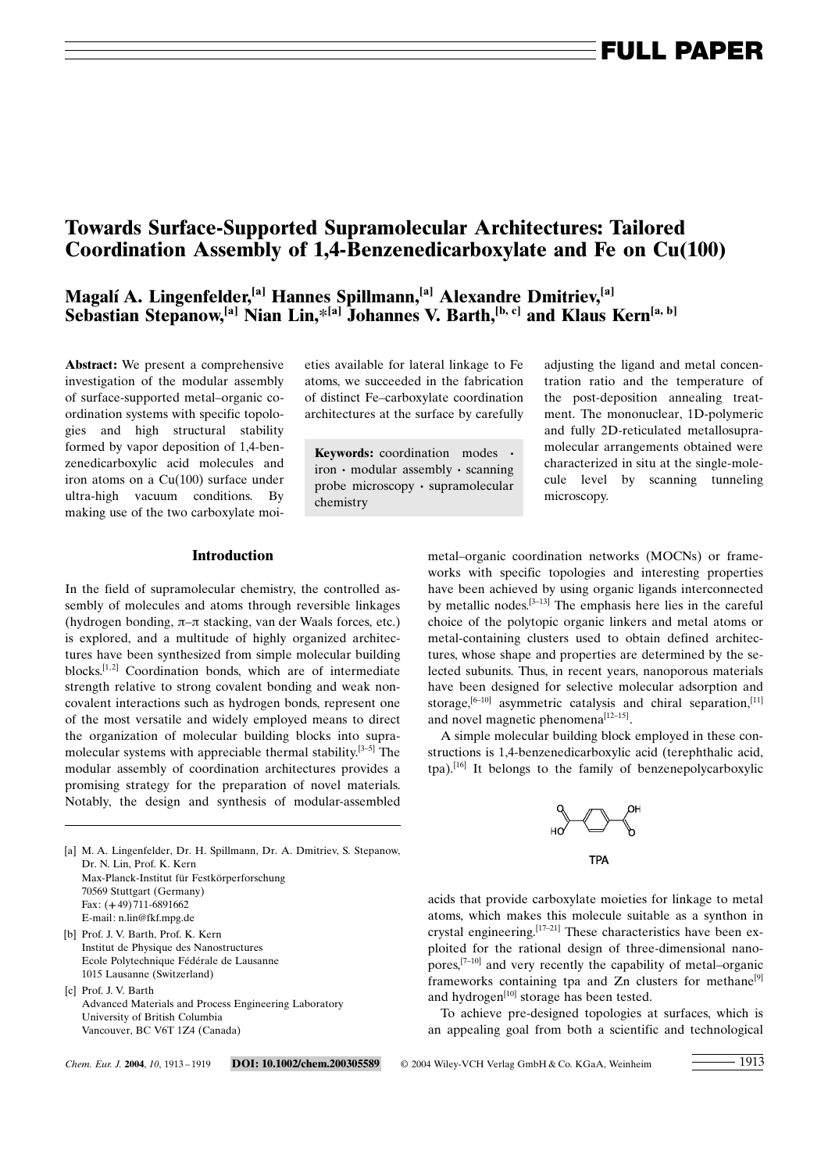# Towards Surface-Supported Supramolecular Architectures: Tailored Coordination Assembly of 1,4-Benzenedicarboxylate and Fe on Cu(100)

### Magalí A. Lingenfelder,<sup>[a]</sup> Hannes Spillmann,<sup>[a]</sup> Alexandre Dmitriev,<sup>[a]</sup> Sebastian Stepanow,<sup>[a]</sup> Nian Lin,<sup>\*[a]</sup> Johannes V. Barth,<sup>[b, c]</sup> and Klaus Kern<sup>[a, b]</sup>

Abstract: We present a comprehensive investigation of the modular assembly of surface-supported metal-organic coordination systems with specific topologies and high structural stability formed by vapor deposition of 1,4-benzenedicarboxylic acid molecules and iron atoms on a Cu(100) surface under ultra-high vacuum conditions. By making use of the two carboxylate moieties available for lateral linkage to Fe atoms, we succeeded in the fabrication of distinct Fe-carboxylate coordination architectures at the surface by carefully

Keywords: coordination modes ·  $iron \cdot modular assembly \cdot scanning$ probe microscopy  $\cdot$  supramolecular chemistry

adjusting the ligand and metal concentration ratio and the temperature of the post-deposition annealing treatment. The mononuclear, 1D-polymeric and fully 2D-reticulated metallosupramolecular arrangements obtained were characterized in situ at the single-molecule level by scanning tunneling microscopy.

### Introduction

In the field of supramolecular chemistry, the controlled assembly of molecules and atoms through reversible linkages (hydrogen bonding,  $\pi-\pi$  stacking, van der Waals forces, etc.) is explored, and a multitude of highly organized architectures have been synthesized from simple molecular building blocks.<sup>[1,2]</sup> Coordination bonds, which are of intermediate strength relative to strong covalent bonding and weak noncovalent interactions such as hydrogen bonds, represent one of the most versatile and widely employed means to direct the organization of molecular building blocks into supramolecular systems with appreciable thermal stability. $[3-5]$  The modular assembly of coordination architectures provides a promising strategy for the preparation of novel materials. Notably, the design and synthesis of modular-assembled

[a] M. A. Lingenfelder, Dr. H. Spillmann, Dr. A. Dmitriev, S. Stepanow,

Advanced Materials and Process Engineering Laboratory

metal-organic coordination networks (MOCNs) or frameworks with specific topologies and interesting properties have been achieved by using organic ligands interconnected by metallic nodes.<sup>[3-13]</sup> The emphasis here lies in the careful choice of the polytopic organic linkers and metal atoms or metal-containing clusters used to obtain defined architectures, whose shape and properties are determined by the selected subunits. Thus, in recent years, nanoporous materials have been designed for selective molecular adsorption and storage, $[6-10]$  asymmetric catalysis and chiral separation, $[11]$ and novel magnetic phenomena $^{[12-15]}$ .

A simple molecular building block employed in these constructions is 1,4-benzenedicarboxylic acid (terephthalic acid, tpa).[16] It belongs to the family of benzenepolycarboxylic



acids that provide carboxylate moieties for linkage to metal atoms, which makes this molecule suitable as a synthon in crystal engineering.<sup>[17-21]</sup> These characteristics have been exploited for the rational design of three-dimensional nanopores, $[7-10]$  and very recently the capability of metal–organic frameworks containing tpa and  $Zn$  clusters for methane<sup>[9]</sup> and hydrogen $[10]$  storage has been tested.

To achieve pre-designed topologies at surfaces, which is an appealing goal from both a scientific and technological

Dr. N. Lin, Prof. K. Kern

70569 Stuttgart (Germany) Fax: (+49) 711-6891662 E-mail: n.lin@fkf.mpg.de [b] Prof. J. V. Barth, Prof. K. Kern

1015 Lausanne (Switzerland)

University of British Columbia Vancouver, BC V6T 1Z4 (Canada)

[c] Prof. J. V. Barth

Max-Planck-Institut für Festkörperforschung

Institut de Physique des Nanostructures Ecole Polytechnique Fédérale de Lausanne

Chem. Eur. J. 2004, 10, 1913-1919 DOI: 10.1002/chem.200305589 © 2004 Wiley-VCH Verlag GmbH & Co. KGaA, Weinheim 1913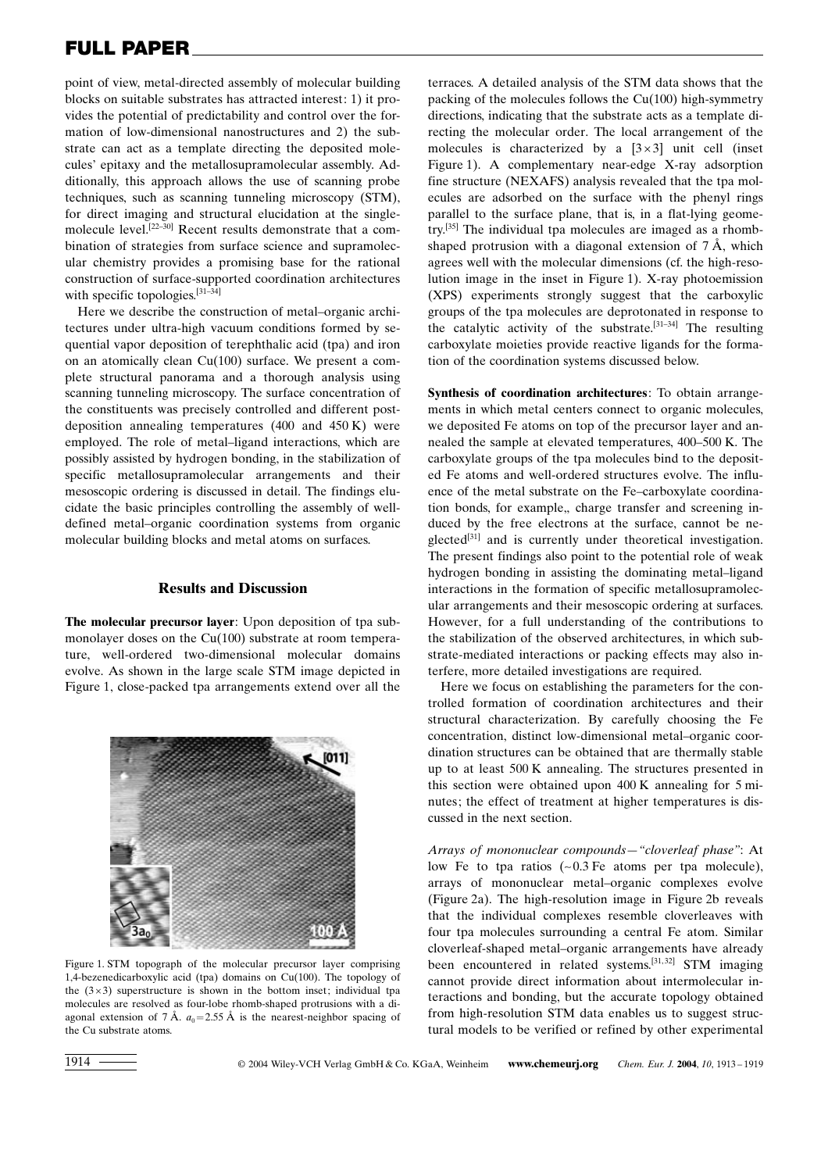# FULL PAPER

point of view, metal-directed assembly of molecular building blocks on suitable substrates has attracted interest: 1) it provides the potential of predictability and control over the formation of low-dimensional nanostructures and 2) the substrate can act as a template directing the deposited molecules' epitaxy and the metallosupramolecular assembly. Additionally, this approach allows the use of scanning probe techniques, such as scanning tunneling microscopy (STM), for direct imaging and structural elucidation at the singlemolecule level.<sup>[22-30]</sup> Recent results demonstrate that a combination of strategies from surface science and supramolecular chemistry provides a promising base for the rational construction of surface-supported coordination architectures with specific topologies. $[31-34]$ 

Here we describe the construction of metal-organic architectures under ultra-high vacuum conditions formed by sequential vapor deposition of terephthalic acid (tpa) and iron on an atomically clean Cu(100) surface. We present a complete structural panorama and a thorough analysis using scanning tunneling microscopy. The surface concentration of the constituents was precisely controlled and different postdeposition annealing temperatures (400 and 450 K) were employed. The role of metal-ligand interactions, which are possibly assisted by hydrogen bonding, in the stabilization of specific metallosupramolecular arrangements and their mesoscopic ordering is discussed in detail. The findings elucidate the basic principles controlling the assembly of welldefined metal-organic coordination systems from organic molecular building blocks and metal atoms on surfaces.

#### Results and Discussion

The molecular precursor layer: Upon deposition of tpa submonolayer doses on the Cu(100) substrate at room temperature, well-ordered two-dimensional molecular domains evolve. As shown in the large scale STM image depicted in Figure 1, close-packed tpa arrangements extend over all the



Figure 1. STM topograph of the molecular precursor layer comprising 1,4-bezenedicarboxylic acid (tpa) domains on Cu(100). The topology of the  $(3 \times 3)$  superstructure is shown in the bottom inset; individual tpa molecules are resolved as four-lobe rhomb-shaped protrusions with a diagonal extension of 7 Å.  $a_0$  = 2.55 Å is the nearest-neighbor spacing of the Cu substrate atoms.

terraces. A detailed analysis of the STM data shows that the packing of the molecules follows the Cu(100) high-symmetry directions, indicating that the substrate acts as a template directing the molecular order. The local arrangement of the molecules is characterized by a  $[3\times3]$  unit cell (inset Figure 1). A complementary near-edge X-ray adsorption fine structure (NEXAFS) analysis revealed that the tpa molecules are adsorbed on the surface with the phenyl rings parallel to the surface plane, that is, in a flat-lying geometry.[35] The individual tpa molecules are imaged as a rhombshaped protrusion with a diagonal extension of  $7 \text{ Å}$ , which agrees well with the molecular dimensions (cf. the high-resolution image in the inset in Figure 1). X-ray photoemission (XPS) experiments strongly suggest that the carboxylic groups of the tpa molecules are deprotonated in response to the catalytic activity of the substrate. $[31-34]$  The resulting carboxylate moieties provide reactive ligands for the formation of the coordination systems discussed below.

Synthesis of coordination architectures: To obtain arrangements in which metal centers connect to organic molecules, we deposited Fe atoms on top of the precursor layer and annealed the sample at elevated temperatures, 400-500 K. The carboxylate groups of the tpa molecules bind to the deposited Fe atoms and well-ordered structures evolve. The influence of the metal substrate on the Fe-carboxylate coordination bonds, for example,, charge transfer and screening induced by the free electrons at the surface, cannot be neglected<sup>[31]</sup> and is currently under theoretical investigation. The present findings also point to the potential role of weak hydrogen bonding in assisting the dominating metal-ligand interactions in the formation of specific metallosupramolecular arrangements and their mesoscopic ordering at surfaces. However, for a full understanding of the contributions to the stabilization of the observed architectures, in which substrate-mediated interactions or packing effects may also interfere, more detailed investigations are required.

Here we focus on establishing the parameters for the controlled formation of coordination architectures and their structural characterization. By carefully choosing the Fe concentration, distinct low-dimensional metal-organic coordination structures can be obtained that are thermally stable up to at least 500 K annealing. The structures presented in this section were obtained upon 400 K annealing for 5 minutes; the effect of treatment at higher temperatures is discussed in the next section.

Arrays of mononuclear compounds—"cloverleaf phase": At low Fe to tpa ratios  $(-0.3 \text{ Fe}$  atoms per tpa molecule), arrays of mononuclear metal-organic complexes evolve (Figure 2a). The high-resolution image in Figure 2b reveals that the individual complexes resemble cloverleaves with four tpa molecules surrounding a central Fe atom. Similar cloverleaf-shaped metal-organic arrangements have already been encountered in related systems.<sup>[31,32]</sup> STM imaging cannot provide direct information about intermolecular interactions and bonding, but the accurate topology obtained from high-resolution STM data enables us to suggest structural models to be verified or refined by other experimental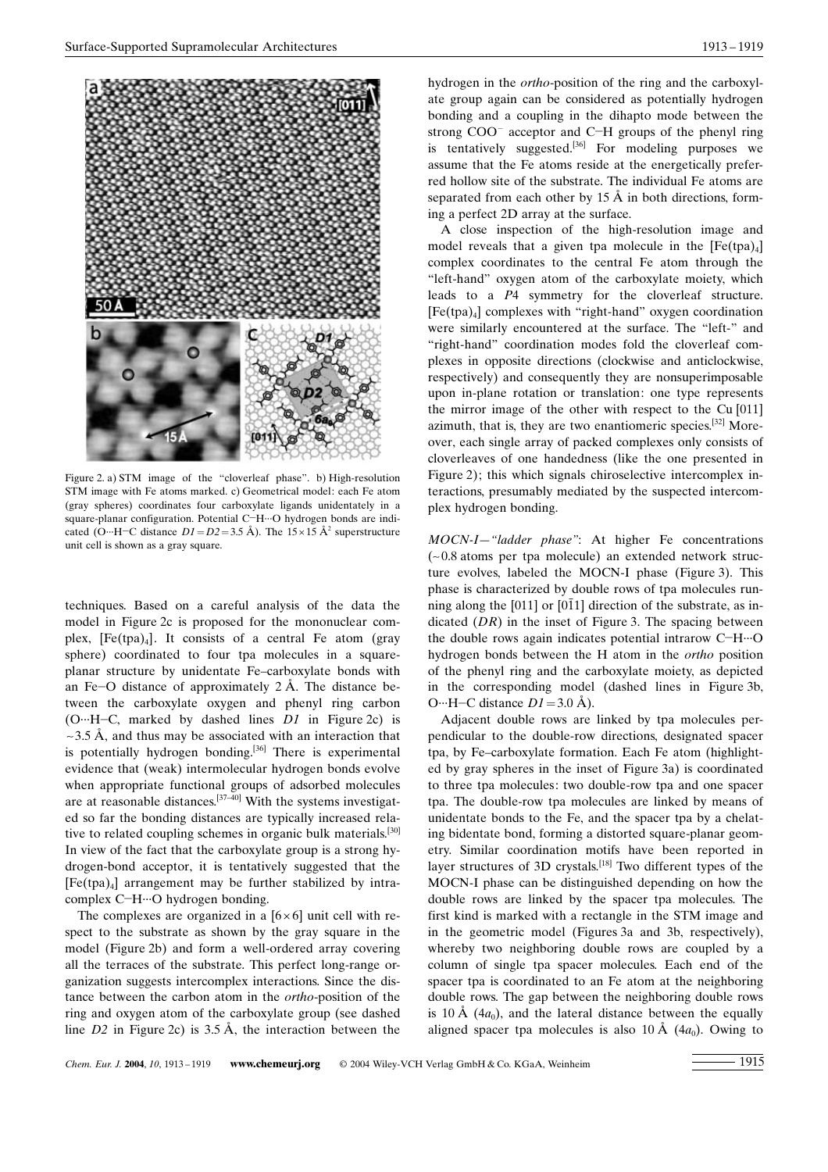

Figure 2. a) STM image of the "cloverleaf phase". b) High-resolution STM image with Fe atoms marked. c) Geometrical model: each Fe atom (gray spheres) coordinates four carboxylate ligands unidentately in a square-planar configuration. Potential C-H $\cdot$ <sup>O</sup> hydrogen bonds are indicated (O…H–C distance  $D1=D2=3.5 \text{ Å}$ ). The  $15\times15 \text{ Å}^2$  superstructure unit cell is shown as a gray square.

techniques. Based on a careful analysis of the data the model in Figure 2c is proposed for the mononuclear complex,  $[Fe(tpa)_4]$ . It consists of a central Fe atom (gray sphere) coordinated to four tpa molecules in a squareplanar structure by unidentate Fe-carboxylate bonds with an Fe $\sim$ O distance of approximately 2 Å. The distance between the carboxylate oxygen and phenyl ring carbon (O…H-C, marked by dashed lines  $DI$  in Figure 2c) is  $\sim$  3.5 Å, and thus may be associated with an interaction that is potentially hydrogen bonding.<sup>[36]</sup> There is experimental evidence that (weak) intermolecular hydrogen bonds evolve when appropriate functional groups of adsorbed molecules are at reasonable distances.<sup>[37 $-40$ ]</sup> With the systems investigated so far the bonding distances are typically increased relative to related coupling schemes in organic bulk materials.<sup>[30]</sup> In view of the fact that the carboxylate group is a strong hydrogen-bond acceptor, it is tentatively suggested that the  $[Fe(tpa)_4]$  arrangement may be further stabilized by intracomplex C-H···O hydrogen bonding.

The complexes are organized in a  $[6 \times 6]$  unit cell with respect to the substrate as shown by the gray square in the model (Figure 2b) and form a well-ordered array covering all the terraces of the substrate. This perfect long-range organization suggests intercomplex interactions. Since the distance between the carbon atom in the ortho-position of the ring and oxygen atom of the carboxylate group (see dashed line  $D2$  in Figure 2c) is 3.5 Å, the interaction between the

hydrogen in the ortho-position of the ring and the carboxylate group again can be considered as potentially hydrogen bonding and a coupling in the dihapto mode between the strong  $COO<sup>-</sup>$  acceptor and C-H groups of the phenyl ring is tentatively suggested.<sup>[36]</sup> For modeling purposes we assume that the Fe atoms reside at the energetically preferred hollow site of the substrate. The individual Fe atoms are separated from each other by  $15 \text{ Å}$  in both directions, forming a perfect 2D array at the surface.

A close inspection of the high-resolution image and model reveals that a given tpa molecule in the  $[Fe(tpa)_4]$ complex coordinates to the central Fe atom through the ™left-hand∫ oxygen atom of the carboxylate moiety, which leads to a P4 symmetry for the cloverleaf structure. [Fe(tpa)<sub>4</sub>] complexes with "right-hand" oxygen coordination were similarly encountered at the surface. The "left-" and ™right-hand∫ coordination modes fold the cloverleaf complexes in opposite directions (clockwise and anticlockwise, respectively) and consequently they are nonsuperimposable upon in-plane rotation or translation: one type represents the mirror image of the other with respect to the Cu [011] azimuth, that is, they are two enantiomeric species.[32] Moreover, each single array of packed complexes only consists of cloverleaves of one handedness (like the one presented in Figure 2); this which signals chiroselective intercomplex interactions, presumably mediated by the suspected intercomplex hydrogen bonding.

MOCN-I-"ladder phase": At higher Fe concentrations (~0.8 atoms per tpa molecule) an extended network structure evolves, labeled the MOCN-I phase (Figure 3). This phase is characterized by double rows of tpa molecules running along the  $[011]$  or  $[011]$  direction of the substrate, as indicated  $(DR)$  in the inset of Figure 3. The spacing between the double rows again indicates potential intrarow C-H $\cdots$ O hydrogen bonds between the H atom in the ortho position of the phenyl ring and the carboxylate moiety, as depicted in the corresponding model (dashed lines in Figure 3b, O…H–C distance  $D1 = 3.0$  Å).

Adjacent double rows are linked by tpa molecules perpendicular to the double-row directions, designated spacer tpa, by Fe-carboxylate formation. Each Fe atom (highlighted by gray spheres in the inset of Figure 3a) is coordinated to three tpa molecules: two double-row tpa and one spacer tpa. The double-row tpa molecules are linked by means of unidentate bonds to the Fe, and the spacer tpa by a chelating bidentate bond, forming a distorted square-planar geometry. Similar coordination motifs have been reported in layer structures of 3D crystals.<sup>[18]</sup> Two different types of the MOCN-I phase can be distinguished depending on how the double rows are linked by the spacer tpa molecules. The first kind is marked with a rectangle in the STM image and in the geometric model (Figures 3a and 3b, respectively), whereby two neighboring double rows are coupled by a column of single tpa spacer molecules. Each end of the spacer tpa is coordinated to an Fe atom at the neighboring double rows. The gap between the neighboring double rows is 10 Å (4 $a_0$ ), and the lateral distance between the equally aligned spacer tpa molecules is also 10 Å  $(4a_0)$ . Owing to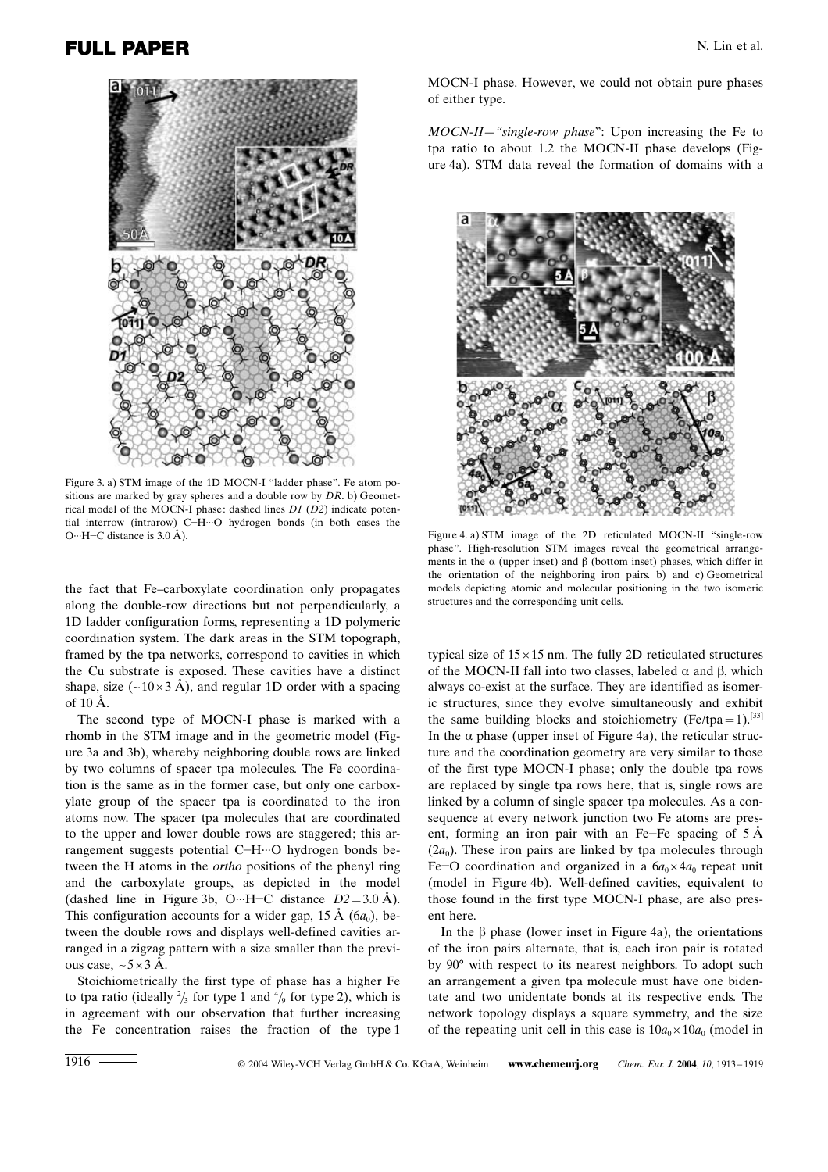

Figure 3. a) STM image of the 1D MOCN-I "ladder phase". Fe atom positions are marked by gray spheres and a double row by  $DR$ . b) Geometrical model of the MOCN-I phase: dashed lines D1 (D2) indicate potential interrow (intrarow) C $-H$ <sup>\*\*</sup>O hydrogen bonds (in both cases the O…H–C distance is  $3.0 \text{ Å}$ ).

the fact that Fe-carboxylate coordination only propagates along the double-row directions but not perpendicularly, a 1D ladder configuration forms, representing a 1D polymeric coordination system. The dark areas in the STM topograph, framed by the tpa networks, correspond to cavities in which the Cu substrate is exposed. These cavities have a distinct shape, size  $(-10 \times 3 \text{ Å})$ , and regular 1D order with a spacing of 10 ä.

The second type of MOCN-I phase is marked with a rhomb in the STM image and in the geometric model (Figure 3a and 3b), whereby neighboring double rows are linked by two columns of spacer tpa molecules. The Fe coordination is the same as in the former case, but only one carboxylate group of the spacer tpa is coordinated to the iron atoms now. The spacer tpa molecules that are coordinated to the upper and lower double rows are staggered; this arrangement suggests potential C-H-+O hydrogen bonds between the H atoms in the ortho positions of the phenyl ring and the carboxylate groups, as depicted in the model (dashed line in Figure 3b, O…H–C distance  $D2 = 3.0 \text{ Å}$ ). This configuration accounts for a wider gap, 15 Å  $(6a_0)$ , between the double rows and displays well-defined cavities arranged in a zigzag pattern with a size smaller than the previous case,  $\sim$  5  $\times$  3 Å.

Stoichiometrically the first type of phase has a higher Fe to tpa ratio (ideally  $\frac{2}{3}$  for type 1 and  $\frac{4}{9}$  for type 2), which is in agreement with our observation that further increasing the Fe concentration raises the fraction of the type 1

MOCN-I phase. However, we could not obtain pure phases of either type.

MOCN-II–"single-row phase": Upon increasing the Fe to tpa ratio to about 1.2 the MOCN-II phase develops (Figure 4a). STM data reveal the formation of domains with a



Figure 4. a) STM image of the 2D reticulated MOCN-II ™single-row phase". High-resolution STM images reveal the geometrical arrangements in the  $\alpha$  (upper inset) and  $\beta$  (bottom inset) phases, which differ in the orientation of the neighboring iron pairs. b) and c) Geometrical models depicting atomic and molecular positioning in the two isomeric structures and the corresponding unit cells.

typical size of  $15 \times 15$  nm. The fully 2D reticulated structures of the MOCN-II fall into two classes, labeled  $\alpha$  and  $\beta$ , which always co-exist at the surface. They are identified as isomeric structures, since they evolve simultaneously and exhibit the same building blocks and stoichiometry (Fe/tpa=1).<sup>[33]</sup> In the  $\alpha$  phase (upper inset of Figure 4a), the reticular structure and the coordination geometry are very similar to those of the first type MOCN-I phase; only the double tpa rows are replaced by single tpa rows here, that is, single rows are linked by a column of single spacer tpa molecules. As a consequence at every network junction two Fe atoms are present, forming an iron pair with an Fe-Fe spacing of  $5 \, \text{\AA}$  $(2a_0)$ . These iron pairs are linked by tpa molecules through Fe-O coordination and organized in a  $6a_0 \times 4a_0$  repeat unit (model in Figure 4b). Well-defined cavities, equivalent to those found in the first type MOCN-I phase, are also present here.

In the  $\beta$  phase (lower inset in Figure 4a), the orientations of the iron pairs alternate, that is, each iron pair is rotated by 90° with respect to its nearest neighbors. To adopt such an arrangement a given tpa molecule must have one bidentate and two unidentate bonds at its respective ends. The network topology displays a square symmetry, and the size of the repeating unit cell in this case is  $10a_0 \times 10a_0$  (model in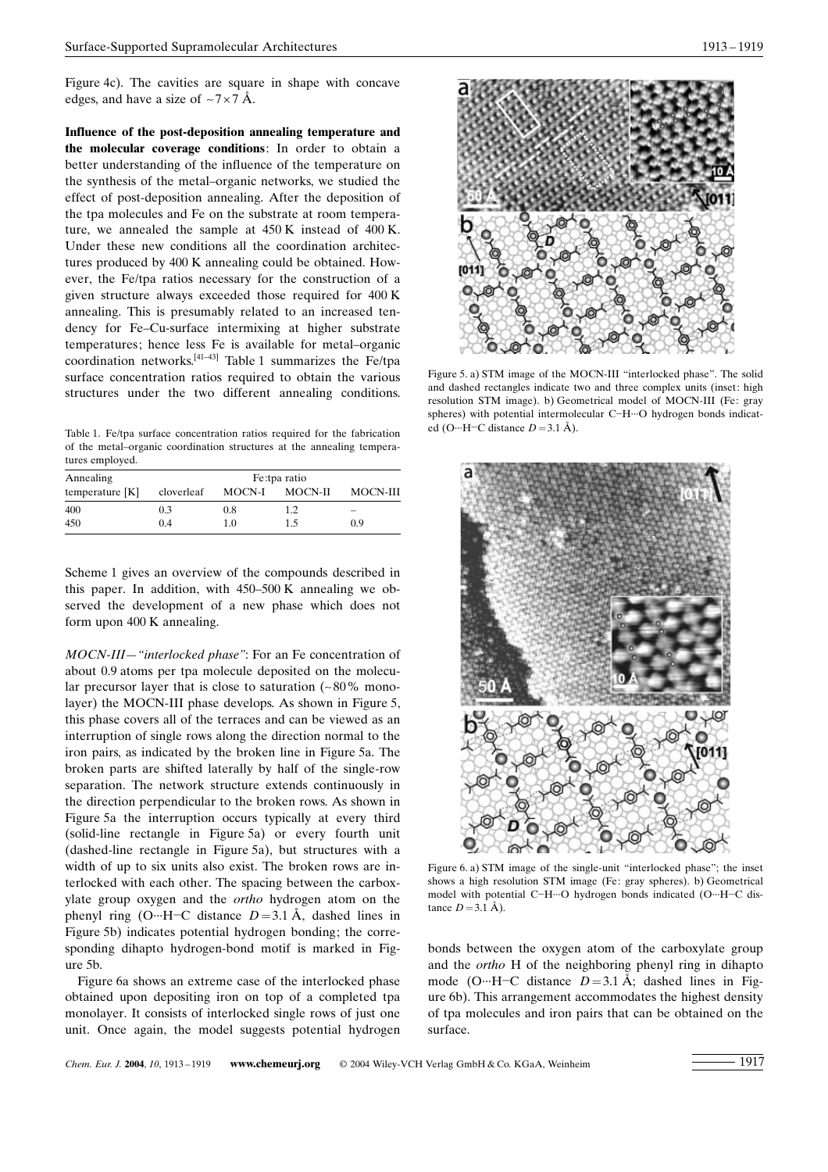Figure 4c). The cavities are square in shape with concave edges, and have a size of  $\sim$ 7 $\times$ 7 Å.

Influence of the post-deposition annealing temperature and the molecular coverage conditions: In order to obtain a better understanding of the influence of the temperature on the synthesis of the metal-organic networks, we studied the effect of post-deposition annealing. After the deposition of the tpa molecules and Fe on the substrate at room temperature, we annealed the sample at 450 K instead of 400 K. Under these new conditions all the coordination architectures produced by 400 K annealing could be obtained. However, the Fe/tpa ratios necessary for the construction of a given structure always exceeded those required for 400 K annealing. This is presumably related to an increased tendency for Fe-Cu-surface intermixing at higher substrate temperatures; hence less Fe is available for metal-organic coordination networks.<sup>[41-43]</sup> Table 1 summarizes the Fe/tpa surface concentration ratios required to obtain the various structures under the two different annealing conditions.

Table 1. Fe/tpa surface concentration ratios required for the fabrication of the metal–organic coordination structures at the annealing temperatures employed.

| Annealing         | Fe:tpa ratio |        |         |          |  |
|-------------------|--------------|--------|---------|----------|--|
| temperature $[K]$ | cloverleaf   | MOCN-I | MOCN-II | MOCN-III |  |
| 400               | 0.3          | 0.8    | 12      |          |  |
| 450               | 0.4          | 1.0    | 1.5     | 0.9      |  |

Scheme 1 gives an overview of the compounds described in this paper. In addition, with  $450-500$  K annealing we observed the development of a new phase which does not form upon 400 K annealing.

MOCN-III–"interlocked phase": For an Fe concentration of about 0.9 atoms per tpa molecule deposited on the molecular precursor layer that is close to saturation  $(-80\%$  monolayer) the MOCN-III phase develops. As shown in Figure 5, this phase covers all of the terraces and can be viewed as an interruption of single rows along the direction normal to the iron pairs, as indicated by the broken line in Figure 5a. The broken parts are shifted laterally by half of the single-row separation. The network structure extends continuously in the direction perpendicular to the broken rows. As shown in Figure 5a the interruption occurs typically at every third (solid-line rectangle in Figure 5a) or every fourth unit (dashed-line rectangle in Figure 5a), but structures with a width of up to six units also exist. The broken rows are interlocked with each other. The spacing between the carboxylate group oxygen and the ortho hydrogen atom on the phenyl ring (O…H–C distance  $D=3.1 \text{ Å}$ , dashed lines in Figure 5b) indicates potential hydrogen bonding; the corresponding dihapto hydrogen-bond motif is marked in Figure 5b.

Figure 6a shows an extreme case of the interlocked phase obtained upon depositing iron on top of a completed tpa monolayer. It consists of interlocked single rows of just one unit. Once again, the model suggests potential hydrogen



Figure 5. a) STM image of the MOCN-III "interlocked phase". The solid and dashed rectangles indicate two and three complex units (inset: high resolution STM image). b) Geometrical model of MOCN-III (Fe: gray spheres) with potential intermolecular C-H-+O hydrogen bonds indicated (O…H-C distance  $D = 3.1 \text{ Å}$ ).



Figure 6. a) STM image of the single-unit "interlocked phase"; the inset shows a high resolution STM image (Fe: gray spheres). b) Geometrical model with potential C-H $\cdots$ O hydrogen bonds indicated (O $\cdots$ H-C distance  $D = 3.1 \text{ Å}$ ).

bonds between the oxygen atom of the carboxylate group and the ortho H of the neighboring phenyl ring in dihapto mode (O…H–C distance  $D=3.1 \text{ Å}$ ; dashed lines in Figure 6b). This arrangement accommodates the highest density of tpa molecules and iron pairs that can be obtained on the surface.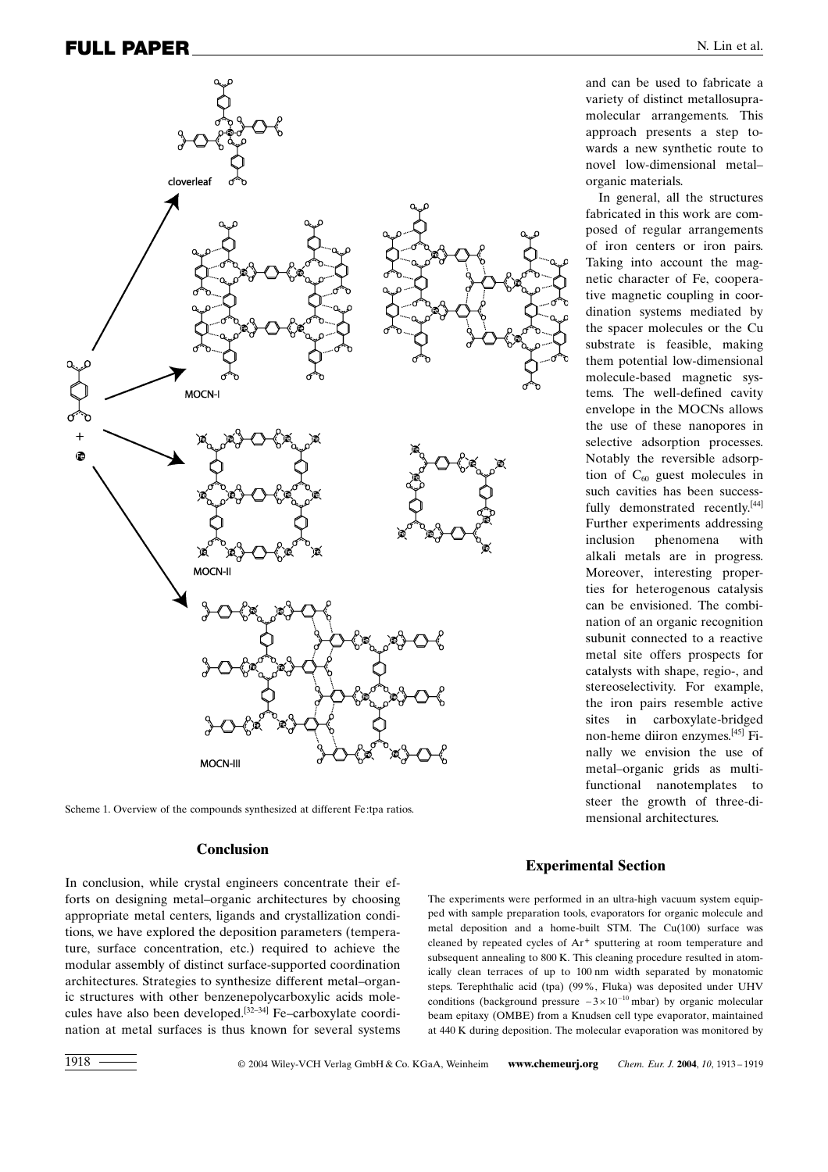

Scheme 1. Overview of the compounds synthesized at different Fe:tpa ratios.

### Conclusion

In conclusion, while crystal engineers concentrate their efforts on designing metal–organic architectures by choosing appropriate metal centers, ligands and crystallization conditions, we have explored the deposition parameters (temperature, surface concentration, etc.) required to achieve the modular assembly of distinct surface-supported coordination architectures. Strategies to synthesize different metal-organic structures with other benzenepolycarboxylic acids molecules have also been developed.<sup>[32-34]</sup> Fe-carboxylate coordination at metal surfaces is thus known for several systems

and can be used to fabricate a variety of distinct metallosupramolecular arrangements. This approach presents a step towards a new synthetic route to novel low-dimensional metalorganic materials.

In general, all the structures fabricated in this work are composed of regular arrangements of iron centers or iron pairs. Taking into account the magnetic character of Fe, cooperative magnetic coupling in coordination systems mediated by the spacer molecules or the Cu substrate is feasible, making them potential low-dimensional molecule-based magnetic systems. The well-defined cavity envelope in the MOCNs allows the use of these nanopores in selective adsorption processes. Notably the reversible adsorption of  $C_{60}$  guest molecules in such cavities has been successfully demonstrated recently.<sup>[44]</sup> Further experiments addressing inclusion phenomena with alkali metals are in progress. Moreover, interesting properties for heterogenous catalysis can be envisioned. The combination of an organic recognition subunit connected to a reactive metal site offers prospects for catalysts with shape, regio-, and stereoselectivity. For example, the iron pairs resemble active sites in carboxylate-bridged non-heme diiron enzymes.[45] Finally we envision the use of metal-organic grids as multifunctional nanotemplates to steer the growth of three-dimensional architectures.

#### Experimental Section

The experiments were performed in an ultra-high vacuum system equipped with sample preparation tools, evaporators for organic molecule and metal deposition and a home-built STM. The Cu(100) surface was cleaned by repeated cycles of Ar<sup>+</sup> sputtering at room temperature and subsequent annealing to 800 K. This cleaning procedure resulted in atomically clean terraces of up to 100 nm width separated by monatomic steps. Terephthalic acid (tpa) (99%, Fluka) was deposited under UHV conditions (background pressure  $\approx 3 \times 10^{-10}$  mbar) by organic molecular beam epitaxy (OMBE) from a Knudsen cell type evaporator, maintained at 440 K during deposition. The molecular evaporation was monitored by